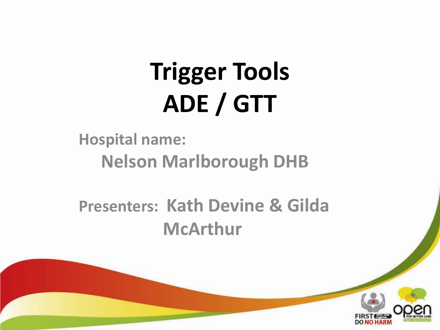# **Trigger Tools ADE / GTT**

#### **Hospital name: Nelson Marlborough DHB**

#### **Presenters: Kath Devine & Gilda McArthur**

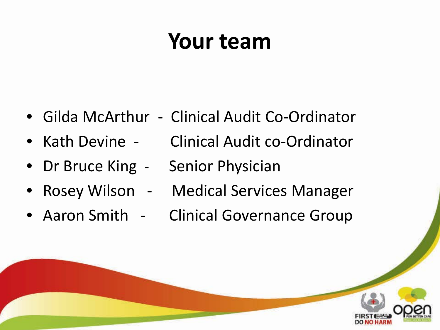#### **Your team**

- Gilda McArthur Clinical Audit Co-Ordinator
- Kath Devine Clinical Audit co-Ordinator
- Dr Bruce King Senior Physician
- Rosey Wilson Medical Services Manager
- Aaron Smith Clinical Governance Group

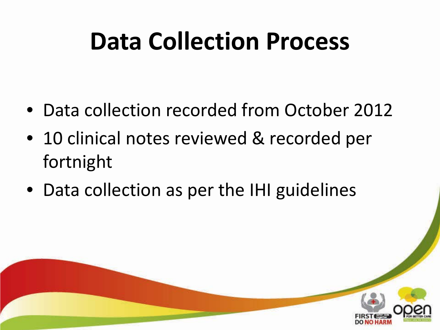# **Data Collection Process**

- Data collection recorded from October 2012
- 10 clinical notes reviewed & recorded per fortnight
- Data collection as per the IHI guidelines

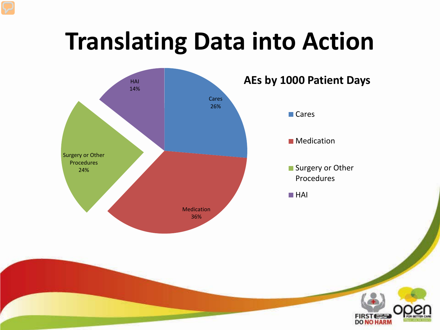# **Translating Data into Action**

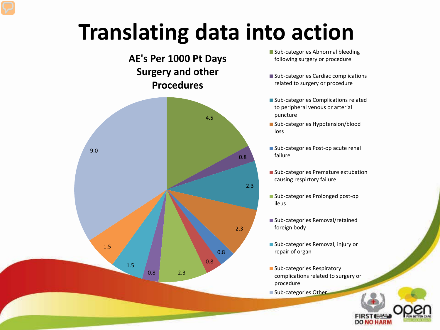## **Translating data into action**



■ Sub-categories Abnormal bleeding following surgery or procedure

- Sub-categories Cardiac complications related to surgery or procedure
- Sub-categories Complications related to peripheral venous or arterial puncture
- Sub-categories Hypotension/blood loss
- Sub-categories Post-op acute renal failure
- Sub-categories Premature extubation causing respirtory failure
- Sub-categories Prolonged post-op ileus
- Sub-categories Removal/retained foreign body
- Sub-categories Removal, injury or repair of organ
- **Sub-categories Respiratory** complications related to surgery or procedure
- Sub-categories Other

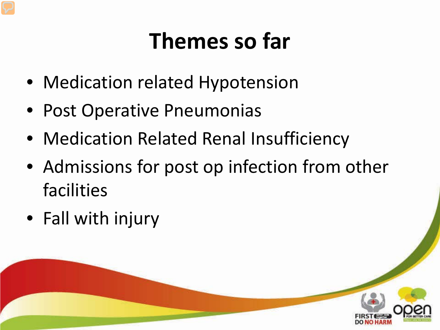### **Themes so far**

- Medication related Hypotension
- Post Operative Pneumonias
- Medication Related Renal Insufficiency
- Admissions for post op infection from other facilities
- Fall with injury

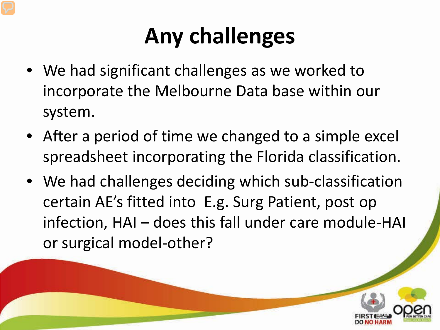### **Any challenges**

- We had significant challenges as we worked to incorporate the Melbourne Data base within our system.
- After a period of time we changed to a simple excel spreadsheet incorporating the Florida classification.
- We had challenges deciding which sub-classification certain AE's fitted into E.g. Surg Patient, post op infection, HAI – does this fall under care module-HAI or surgical model-other?

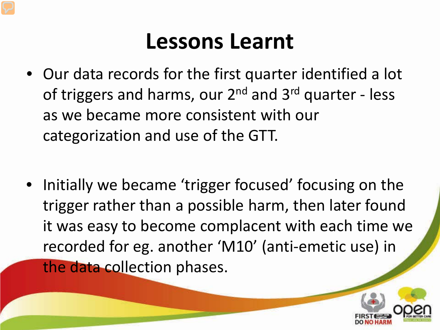#### **Lessons Learnt**

- Our data records for the first quarter identified a lot of triggers and harms, our  $2^{nd}$  and  $3^{rd}$  quarter - less as we became more consistent with our categorization and use of the GTT.
- Initially we became 'trigger focused' focusing on the trigger rather than a possible harm, then later found it was easy to become complacent with each time we recorded for eg. another 'M10' (anti-emetic use) in the data collection phases.

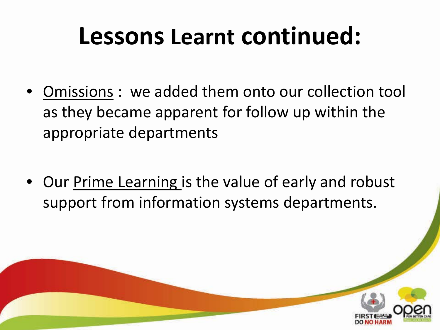## **Lessons Learnt continued:**

- Omissions : we added them onto our collection tool as they became apparent for follow up within the appropriate departments
- Our Prime Learning is the value of early and robust support from information systems departments.

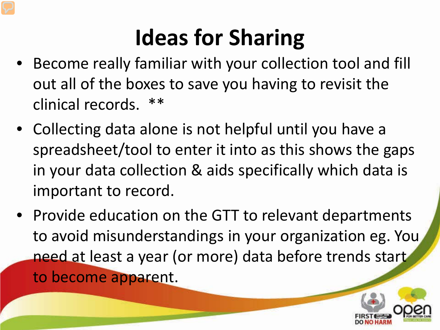## **Ideas for Sharing**

- Become really familiar with your collection tool and fill out all of the boxes to save you having to revisit the clinical records. \*\*
- Collecting data alone is not helpful until you have a spreadsheet/tool to enter it into as this shows the gaps in your data collection & aids specifically which data is important to record.
- Provide education on the GTT to relevant departments to avoid misunderstandings in your organization eg. You need at least a year (or more) data before trends start to become apparent.

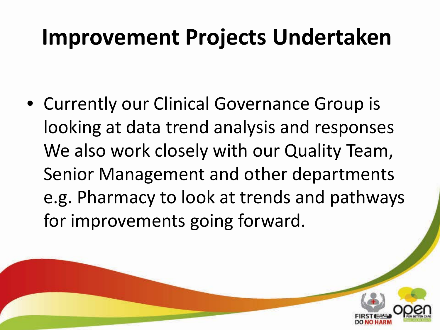#### **Improvement Projects Undertaken**

• Currently our Clinical Governance Group is looking at data trend analysis and responses We also work closely with our Quality Team, Senior Management and other departments e.g. Pharmacy to look at trends and pathways for improvements going forward.